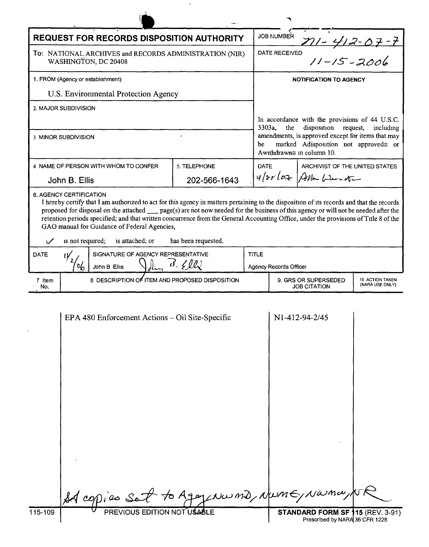| <b>REQUEST FOR RECORDS DISPOSITION AUTHORITY</b> |                                                                                                                                                                                                                                                                                                                                                                         |                     |              | <b>JOB NUMBER</b>                                                                                                                                         |                                                               |                                    |
|--------------------------------------------------|-------------------------------------------------------------------------------------------------------------------------------------------------------------------------------------------------------------------------------------------------------------------------------------------------------------------------------------------------------------------------|---------------------|--------------|-----------------------------------------------------------------------------------------------------------------------------------------------------------|---------------------------------------------------------------|------------------------------------|
|                                                  | To: NATIONAL ARCHIVES and RECORDS ADMINISTRATION (NIR)<br>WASHINGTON, DC 20408                                                                                                                                                                                                                                                                                          |                     |              | <u>711 - 412 - 07 - 7</u><br>11 - 15 - 2006<br>DATE RECEIVED                                                                                              |                                                               |                                    |
| 1. FROM (Agency or establishment)                |                                                                                                                                                                                                                                                                                                                                                                         |                     |              | <b>NOTIFICATION TO AGENCY</b>                                                                                                                             |                                                               |                                    |
| U.S. Environmental Protection Agency             |                                                                                                                                                                                                                                                                                                                                                                         |                     |              |                                                                                                                                                           |                                                               |                                    |
|                                                  | 2. MAJOR SUBDIVISION                                                                                                                                                                                                                                                                                                                                                    |                     |              |                                                                                                                                                           |                                                               |                                    |
|                                                  |                                                                                                                                                                                                                                                                                                                                                                         |                     |              | the                                                                                                                                                       | In accordance with the provisions of 44 U.S.C.<br>disposition |                                    |
| 3 MINOR SUBDIVISION                              |                                                                                                                                                                                                                                                                                                                                                                         |                     | be           | 3303a,<br>request,<br>including<br>amendments, is approved except for items that may<br>marked Adisposition not approved≅ or<br>Awithdrawn≅ in column 10. |                                                               |                                    |
|                                                  | 4 NAME OF PERSON WITH WHOM TO CONFER                                                                                                                                                                                                                                                                                                                                    | 5. TELEPHONE        | <b>DATE</b>  |                                                                                                                                                           | ARCHIVIST OF THE UNITED STATES                                |                                    |
| John B. Ellis<br>202-566-1643                    |                                                                                                                                                                                                                                                                                                                                                                         |                     |              | $4/8r/cz$ Alla Weinster                                                                                                                                   |                                                               |                                    |
| ۱Z                                               | proposed for disposal on the attached <u>page</u> (s) are not now needed for the business of this agency or will not be needed after the<br>retention periods specified; and that written concurrence from the General Accounting Office, under the provisions of Title 8 of the<br>GAO manual for Guidance of Federal Agencies,<br>is attached; or<br>is not required; | has been requested. |              |                                                                                                                                                           |                                                               |                                    |
| <b>DATE</b>                                      | SIGNATURE OF AGENCY REPRESENTATIVE<br>٢V                                                                                                                                                                                                                                                                                                                                |                     | <b>TITLE</b> |                                                                                                                                                           |                                                               |                                    |
|                                                  | $c_{b}$<br>John B Ellis                                                                                                                                                                                                                                                                                                                                                 | $B.$ $B.$           |              | <b>Agency Records Officer</b>                                                                                                                             |                                                               |                                    |
| 7 Item<br>No.                                    | 8 DESCRIPTION OF ITEM AND PROPOSED DISPOSITION                                                                                                                                                                                                                                                                                                                          |                     |              | 9. GRS OR SUPERSEDED<br><b>JOB CITATION</b>                                                                                                               |                                                               | 10 ACTION TAKEN<br>(NARA USE ONLY) |
|                                                  | EPA 480 Enforcement Actions – Oil Site-Specific                                                                                                                                                                                                                                                                                                                         |                     |              |                                                                                                                                                           | N1-412-94-2/45                                                |                                    |

 $\sim$   $\sim$ 

|         | set copies set to Agey Norme, Nume, Nama, 15. |                                                                           |  |
|---------|-----------------------------------------------|---------------------------------------------------------------------------|--|
| 115-109 | PREVIOUS EDITION NOT USABLE                   | <b>STANDARD FORM SF 115 (REV. 3-91)</b><br>Prescribed by NARA 36 CFR 1228 |  |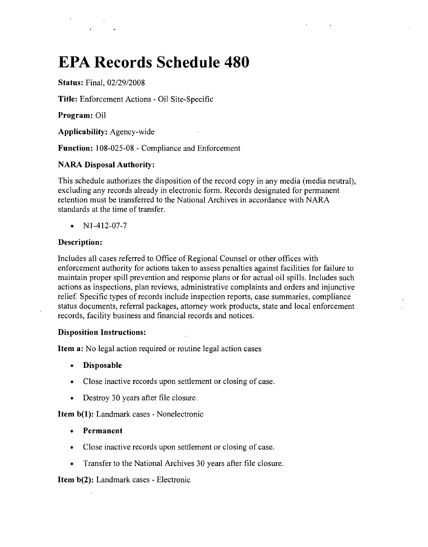# **EPA Records Schedule 480**

**Status:** Final, *02/29/2008*

**Title:** Enforcement Actions - Oil Site-Specific

**Program:** Oil

**Applicability:** Agency-wide

**Function:** 108-025-08 - Compliance and Enforcement

# **NARA Disposal Authority:**

This schedule authorizes the disposition of the record copy in any media (media neutral), excluding any records already in electronic form. Records designated for permanent retention must be transferred to the National Archives in accordance with NARA standards at the time of transfer.

•  $N1-412-07-7$ 

#### **Description:**

Includes all cases referred to Office of Regional Counsel or other offices with enforcement authority for actions taken to assess penalties against facilities for failure to maintain proper spill prevention and response plans or for actual oil spills. Includes such actions as inspections, plan reviews, administrative complaints and orders and injunctive relief. Specific types of records include inspection reports, case summaries, compliance status documents, referral packages, attorney work products, state and local enforcement records, facility business and financial records and notices.

#### **Disposition Instructions:**

**Item a:** No legal action required or routine legal action cases

- **Disposable**
- Close inactive records upon settlement or closing of case.
- Destroy 30 years after file closure.

**Item b(1):** Landmark cases - Nonelectronic

- **Permanent**
- Close inactive records upon settlement or closing of case.
- Transfer to the National Archives 30 years after file closure.

# **Item b(2):** Landmark cases - Electronic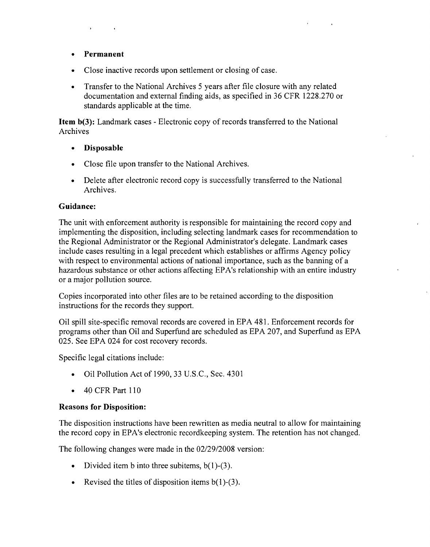- **Permanent**
- Close inactive records upon settlement or closing of case.
- Transfer to the National Archives 5 years after file closure with any related documentation and external finding aids, as specified in 36 CFR 1228.270 or standards applicable at the time.

**Item b(3):** Landmark cases - Electronic copy of records transferred to the National Archives

- **Disposable**
- Close file upon transfer to the National Archives.
- Delete after electronic record copy is successfully transferred to the National Archives.

#### **Guidance:**

The unit with enforcement authority is responsible for maintaining the record copy and implementing the disposition, including selecting landmark cases for recommendation to the Regional Administrator or the Regional Administrator's delegate. Landmark cases include cases resulting in a legal precedent which establishes or affirms Agency policy with respect to environmental actions of national importance, such as the banning of a hazardous substance or other actions affecting EPA's relationship with an entire industry or a major pollution source.

Copies incorporated into other files are to be retained according to the disposition instructions for the records they support.

Oil spill site-specific removal records are covered in EPA 481. Enforcement records for programs other than Oil and Superfund are scheduled as EPA 207, and Superfund as EPA 025. See EPA 024 for cost recovery records.

Specific legal citations include:

- Oil Pollution Act of 1990,33 U.S.C., Sec. 4301
- 40 CFR Part 110

# **Reasons for Disposition:**

The disposition instructions have been rewritten as media neutral to allow for maintaining the record copy in EPA's electronic recordkeeping system. The retention has not changed.

The following changes were made in the *02/29/2008* version:

- Divided item b into three subitems,  $b(1)$ -(3).
- Revised the titles of disposition items  $b(1)$ -(3).